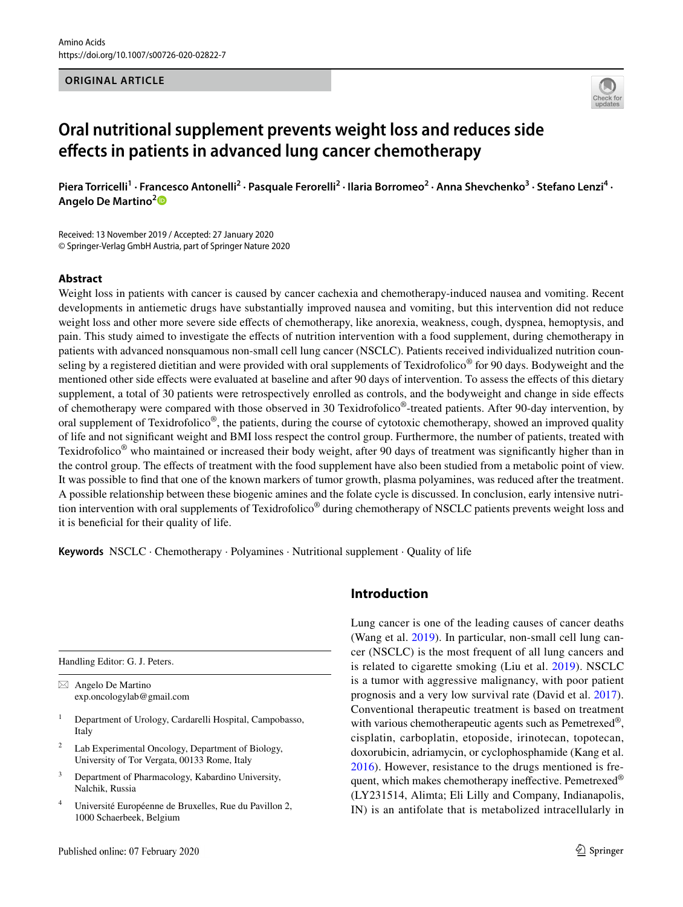#### **ORIGINAL ARTICLE**



# **Oral nutritional supplement prevents weight loss and reduces side efects in patients in advanced lung cancer chemotherapy**

Piera Torricelli<sup>1</sup> · Francesco Antonelli<sup>2</sup> · Pasquale Ferorelli<sup>2</sup> · Ilaria Borromeo<sup>2</sup> · Anna Shevchenko<sup>3</sup> · Stefano Lenzi<sup>4</sup> · **Angelo De Martino[2](http://orcid.org/0000-0001-9463-9646)**

Received: 13 November 2019 / Accepted: 27 January 2020 © Springer-Verlag GmbH Austria, part of Springer Nature 2020

#### **Abstract**

Weight loss in patients with cancer is caused by cancer cachexia and chemotherapy-induced nausea and vomiting. Recent developments in antiemetic drugs have substantially improved nausea and vomiting, but this intervention did not reduce weight loss and other more severe side efects of chemotherapy, like anorexia, weakness, cough, dyspnea, hemoptysis, and pain. This study aimed to investigate the efects of nutrition intervention with a food supplement, during chemotherapy in patients with advanced nonsquamous non-small cell lung cancer (NSCLC). Patients received individualized nutrition counseling by a registered dietitian and were provided with oral supplements of Texidrofolico<sup>®</sup> for 90 days. Bodyweight and the mentioned other side efects were evaluated at baseline and after 90 days of intervention. To assess the efects of this dietary supplement, a total of 30 patients were retrospectively enrolled as controls, and the bodyweight and change in side efects of chemotherapy were compared with those observed in 30 Texidrofolico®-treated patients. After 90-day intervention, by oral supplement of Texidrofolico®, the patients, during the course of cytotoxic chemotherapy, showed an improved quality of life and not signifcant weight and BMI loss respect the control group. Furthermore, the number of patients, treated with Texidrofolico® who maintained or increased their body weight, after 90 days of treatment was signifcantly higher than in the control group. The efects of treatment with the food supplement have also been studied from a metabolic point of view. It was possible to fnd that one of the known markers of tumor growth, plasma polyamines, was reduced after the treatment. A possible relationship between these biogenic amines and the folate cycle is discussed. In conclusion, early intensive nutrition intervention with oral supplements of Texidrofolico® during chemotherapy of NSCLC patients prevents weight loss and it is benefcial for their quality of life.

**Keywords** NSCLC · Chemotherapy · Polyamines · Nutritional supplement · Quality of life

Handling Editor: G. J. Peters.

 $\boxtimes$  Angelo De Martino exp.oncologylab@gmail.com

- <sup>1</sup> Department of Urology, Cardarelli Hospital, Campobasso, Italy
- <sup>2</sup> Lab Experimental Oncology, Department of Biology, University of Tor Vergata, 00133 Rome, Italy
- <sup>3</sup> Department of Pharmacology, Kabardino University, Nalchik, Russia
- <sup>4</sup> Université Européenne de Bruxelles, Rue du Pavillon 2, 1000 Schaerbeek, Belgium

## **Introduction**

Lung cancer is one of the leading causes of cancer deaths (Wang et al. [2019](#page-6-0)). In particular, non-small cell lung cancer (NSCLC) is the most frequent of all lung cancers and is related to cigarette smoking (Liu et al. [2019](#page-6-1)). NSCLC is a tumor with aggressive malignancy, with poor patient prognosis and a very low survival rate (David et al. [2017](#page-6-2)). Conventional therapeutic treatment is based on treatment with various chemotherapeutic agents such as Pemetrexed<sup>®</sup>, cisplatin, carboplatin, etoposide, irinotecan, topotecan, doxorubicin, adriamycin, or cyclophosphamide (Kang et al. [2016\)](#page-6-3). However, resistance to the drugs mentioned is frequent, which makes chemotherapy ineffective. Pemetrexed® (LY231514, Alimta; Eli Lilly and Company, Indianapolis, IN) is an antifolate that is metabolized intracellularly in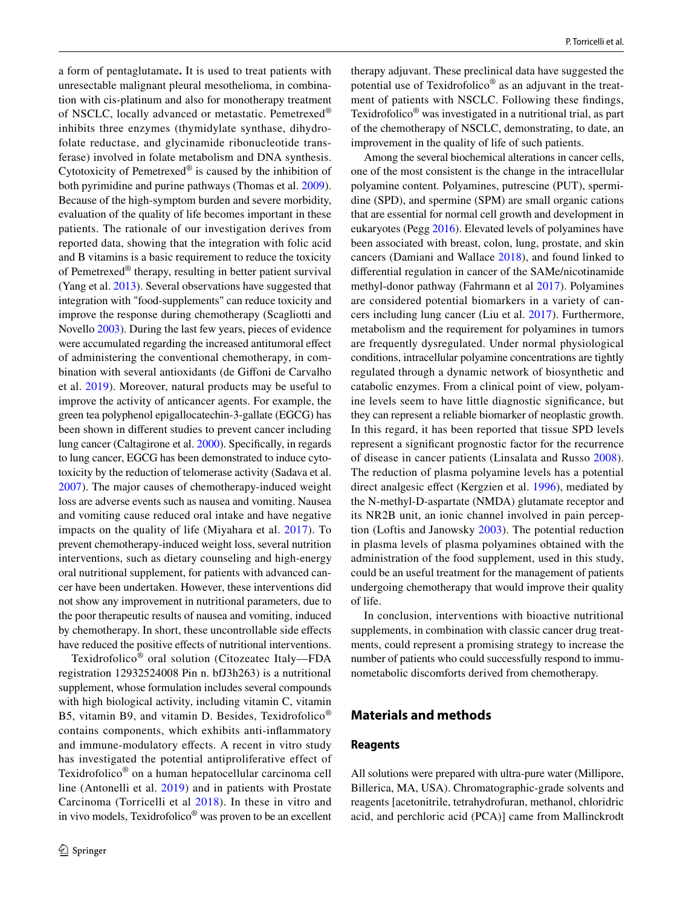a form of pentaglutamate**.** It is used to treat patients with unresectable malignant pleural mesothelioma, in combination with cis-platinum and also for monotherapy treatment of NSCLC, locally advanced or metastatic. Pemetrexed® inhibits three enzymes (thymidylate synthase, dihydrofolate reductase, and glycinamide ribonucleotide transferase) involved in folate metabolism and DNA synthesis. Cytotoxicity of Pemetrexed® is caused by the inhibition of both pyrimidine and purine pathways (Thomas et al. [2009](#page-6-4)). Because of the high-symptom burden and severe morbidity, evaluation of the quality of life becomes important in these patients. The rationale of our investigation derives from reported data, showing that the integration with folic acid and B vitamins is a basic requirement to reduce the toxicity of Pemetrexed® therapy, resulting in better patient survival (Yang et al. [2013\)](#page-6-5). Several observations have suggested that integration with "food-supplements" can reduce toxicity and improve the response during chemotherapy (Scagliotti and Novello [2003\)](#page-6-6). During the last few years, pieces of evidence were accumulated regarding the increased antitumoral efect of administering the conventional chemotherapy, in combination with several antioxidants (de Gifoni de Carvalho et al. [2019](#page-6-7)). Moreover, natural products may be useful to improve the activity of anticancer agents. For example, the green tea polyphenol epigallocatechin-3-gallate (EGCG) has been shown in diferent studies to prevent cancer including lung cancer (Caltagirone et al. [2000\)](#page-6-8). Specifcally, in regards to lung cancer, EGCG has been demonstrated to induce cytotoxicity by the reduction of telomerase activity (Sadava et al. [2007](#page-6-9)). The major causes of chemotherapy-induced weight loss are adverse events such as nausea and vomiting. Nausea and vomiting cause reduced oral intake and have negative impacts on the quality of life (Miyahara et al. [2017\)](#page-6-10). To prevent chemotherapy-induced weight loss, several nutrition interventions, such as dietary counseling and high-energy oral nutritional supplement, for patients with advanced cancer have been undertaken. However, these interventions did not show any improvement in nutritional parameters, due to the poor therapeutic results of nausea and vomiting, induced by chemotherapy. In short, these uncontrollable side efects have reduced the positive effects of nutritional interventions.

Texidrofolico® oral solution (Citozeatec Italy—FDA registration 12932524008 Pin n. bfJ3h263) is a nutritional supplement, whose formulation includes several compounds with high biological activity, including vitamin C, vitamin B5, vitamin B9, and vitamin D. Besides, Texidrofolico® contains components, which exhibits anti-infammatory and immune-modulatory effects. A recent in vitro study has investigated the potential antiproliferative effect of Texidrofolico® on a human hepatocellular carcinoma cell line (Antonelli et al. [2019](#page-5-0)) and in patients with Prostate Carcinoma (Torricelli et al [2018](#page-6-11)). In these in vitro and in vivo models, Texidrofolico® was proven to be an excellent therapy adjuvant. These preclinical data have suggested the potential use of Texidrofolico® as an adjuvant in the treatment of patients with NSCLC. Following these fndings, Texidrofolico® was investigated in a nutritional trial, as part of the chemotherapy of NSCLC, demonstrating, to date, an improvement in the quality of life of such patients.

Among the several biochemical alterations in cancer cells, one of the most consistent is the change in the intracellular polyamine content. Polyamines, putrescine (PUT), spermidine (SPD), and spermine (SPM) are small organic cations that are essential for normal cell growth and development in eukaryotes (Pegg [2016](#page-6-12)). Elevated levels of polyamines have been associated with breast, colon, lung, prostate, and skin cancers (Damiani and Wallace [2018](#page-6-13)), and found linked to diferential regulation in cancer of the SAMe/nicotinamide methyl-donor pathway (Fahrmann et al [2017\)](#page-6-14). Polyamines are considered potential biomarkers in a variety of cancers including lung cancer (Liu et al. [2017](#page-6-15)). Furthermore, metabolism and the requirement for polyamines in tumors are frequently dysregulated. Under normal physiological conditions, intracellular polyamine concentrations are tightly regulated through a dynamic network of biosynthetic and catabolic enzymes. From a clinical point of view, polyamine levels seem to have little diagnostic signifcance, but they can represent a reliable biomarker of neoplastic growth. In this regard, it has been reported that tissue SPD levels represent a signifcant prognostic factor for the recurrence of disease in cancer patients (Linsalata and Russo [2008](#page-6-16)). The reduction of plasma polyamine levels has a potential direct analgesic efect (Kergzien et al. [1996](#page-6-17)), mediated by the N-methyl-D-aspartate (NMDA) glutamate receptor and its NR2B unit, an ionic channel involved in pain perception (Loftis and Janowsky [2003](#page-6-18)). The potential reduction in plasma levels of plasma polyamines obtained with the administration of the food supplement, used in this study, could be an useful treatment for the management of patients undergoing chemotherapy that would improve their quality of life.

In conclusion, interventions with bioactive nutritional supplements, in combination with classic cancer drug treatments, could represent a promising strategy to increase the number of patients who could successfully respond to immunometabolic discomforts derived from chemotherapy.

## **Materials and methods**

#### **Reagents**

All solutions were prepared with ultra-pure water (Millipore, Billerica, MA, USA). Chromatographic-grade solvents and reagents [acetonitrile, tetrahydrofuran, methanol, chloridric acid, and perchloric acid (PCA)] came from Mallinckrodt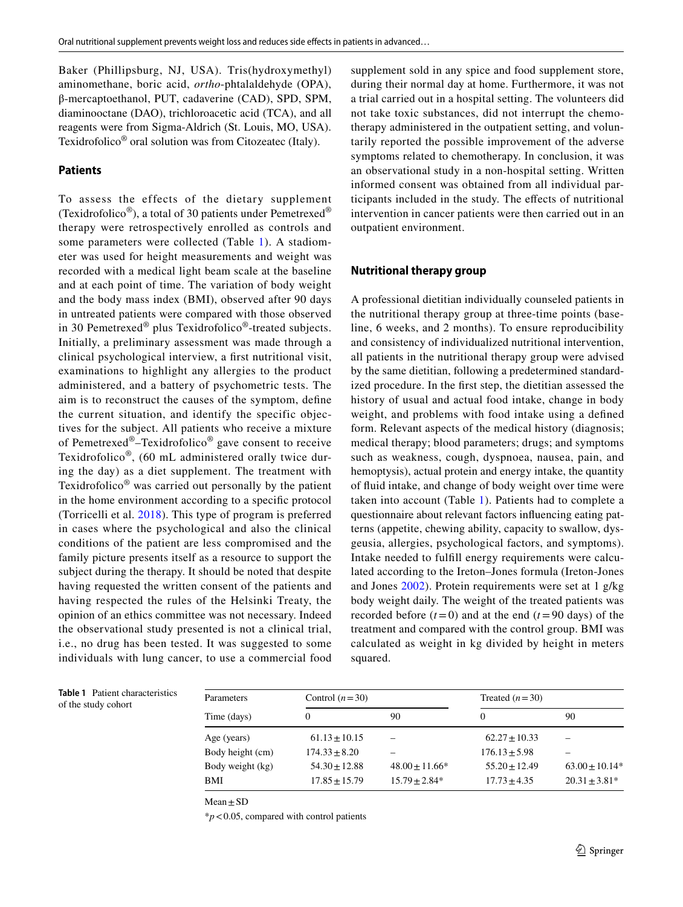Baker (Phillipsburg, NJ, USA). Tris(hydroxymethyl) aminomethane, boric acid, *ortho*-phtalaldehyde (OPA), β-mercaptoethanol, PUT, cadaverine (CAD), SPD, SPM, diaminooctane (DAO), trichloroacetic acid (TCA), and all reagents were from Sigma-Aldrich (St. Louis, MO, USA). Texidrofolico® oral solution was from Citozeatec (Italy).

#### **Patients**

To assess the effects of the dietary supplement (Texidrofolico<sup>®</sup>), a total of 30 patients under Pemetrexed<sup>®</sup> therapy were retrospectively enrolled as controls and some parameters were collected (Table [1\)](#page-2-0). A stadiometer was used for height measurements and weight was recorded with a medical light beam scale at the baseline and at each point of time. The variation of body weight and the body mass index (BMI), observed after 90 days in untreated patients were compared with those observed in 30 Pemetrexed® plus Texidrofolico®-treated subjects. Initially, a preliminary assessment was made through a clinical psychological interview, a frst nutritional visit, examinations to highlight any allergies to the product administered, and a battery of psychometric tests. The aim is to reconstruct the causes of the symptom, defne the current situation, and identify the specific objectives for the subject. All patients who receive a mixture of Pemetrexed®–Texidrofolico® gave consent to receive Texidrofolico®, (60 mL administered orally twice during the day) as a diet supplement. The treatment with Texidrofolico® was carried out personally by the patient in the home environment according to a specifc protocol (Torricelli et al. [2018](#page-6-11)). This type of program is preferred in cases where the psychological and also the clinical conditions of the patient are less compromised and the family picture presents itself as a resource to support the subject during the therapy. It should be noted that despite having requested the written consent of the patients and having respected the rules of the Helsinki Treaty, the opinion of an ethics committee was not necessary. Indeed the observational study presented is not a clinical trial, i.e., no drug has been tested. It was suggested to some individuals with lung cancer, to use a commercial food supplement sold in any spice and food supplement store, during their normal day at home. Furthermore, it was not a trial carried out in a hospital setting. The volunteers did not take toxic substances, did not interrupt the chemotherapy administered in the outpatient setting, and voluntarily reported the possible improvement of the adverse symptoms related to chemotherapy. In conclusion, it was an observational study in a non-hospital setting. Written informed consent was obtained from all individual participants included in the study. The efects of nutritional intervention in cancer patients were then carried out in an outpatient environment.

#### **Nutritional therapy group**

A professional dietitian individually counseled patients in the nutritional therapy group at three-time points (baseline, 6 weeks, and 2 months). To ensure reproducibility and consistency of individualized nutritional intervention, all patients in the nutritional therapy group were advised by the same dietitian, following a predetermined standardized procedure. In the frst step, the dietitian assessed the history of usual and actual food intake, change in body weight, and problems with food intake using a defned form. Relevant aspects of the medical history (diagnosis; medical therapy; blood parameters; drugs; and symptoms such as weakness, cough, dyspnoea, nausea, pain, and hemoptysis), actual protein and energy intake, the quantity of fuid intake, and change of body weight over time were taken into account (Table [1\)](#page-2-0). Patients had to complete a questionnaire about relevant factors infuencing eating patterns (appetite, chewing ability, capacity to swallow, dysgeusia, allergies, psychological factors, and symptoms). Intake needed to fulfll energy requirements were calculated according to the Ireton–Jones formula (Ireton-Jones and Jones [2002\)](#page-6-19). Protein requirements were set at 1 g/kg body weight daily. The weight of the treated patients was recorded before  $(t=0)$  and at the end  $(t=90 \text{ days})$  of the treatment and compared with the control group. BMI was calculated as weight in kg divided by height in meters squared.

<span id="page-2-0"></span>

|                     | <b>Table 1</b> Patient characteristics |  |  |  |  |
|---------------------|----------------------------------------|--|--|--|--|
| of the study cohort |                                        |  |  |  |  |

| Parameters<br>Time (days) | Control $(n=30)$  |                    | Treated $(n=30)$ |                    |  |
|---------------------------|-------------------|--------------------|------------------|--------------------|--|
|                           | 0                 | 90                 | $\Omega$         | 90                 |  |
| Age (years)               | $61.13 \pm 10.15$ |                    | $62.27 + 10.33$  | -                  |  |
| Body height (cm)          | $174.33 + 8.20$   |                    | $176.13 + 5.98$  |                    |  |
| Body weight (kg)          | $54.30 + 12.88$   | $48.00 \pm 11.66*$ | $55.20 + 12.49$  | $63.00 \pm 10.14*$ |  |
| BMI                       | $17.85 + 15.79$   | $15.79 + 2.84*$    | $17.73 + 4.35$   | $20.31 \pm 3.81*$  |  |

 $Mean \pm SD$ 

\**p*<0.05, compared with control patients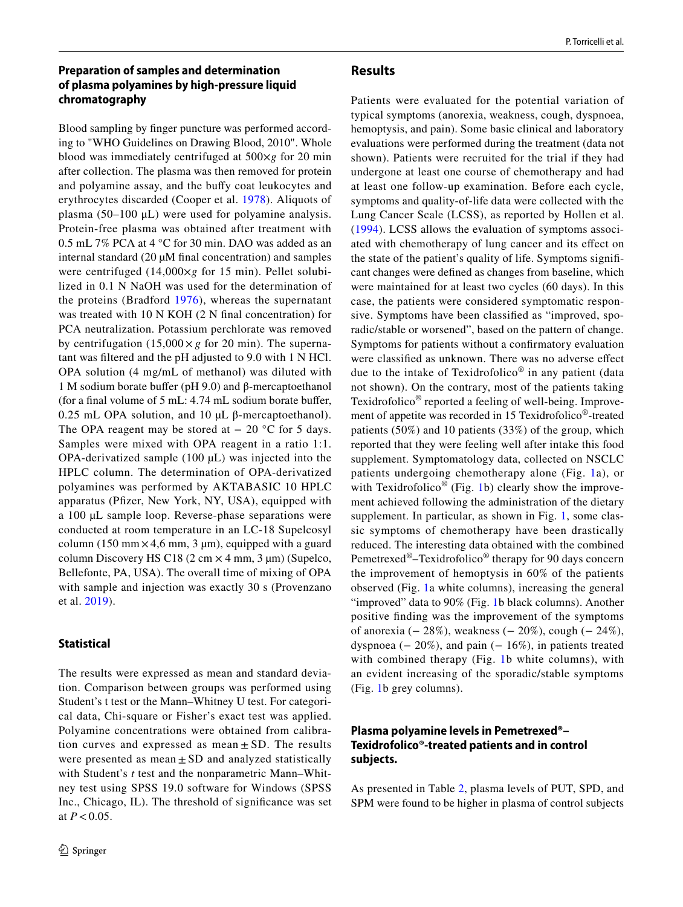## **Preparation of samples and determination of plasma polyamines by high‑pressure liquid chromatography**

Blood sampling by fnger puncture was performed according to "WHO Guidelines on Drawing Blood, 2010". Whole blood was immediately centrifuged at 500×*g* for 20 min after collection. The plasma was then removed for protein and polyamine assay, and the bufy coat leukocytes and erythrocytes discarded (Cooper et al. [1978](#page-6-20)). Aliquots of plasma  $(50-100 \mu L)$  were used for polyamine analysis. Protein-free plasma was obtained after treatment with 0.5 mL 7% PCA at 4 °C for 30 min. DAO was added as an internal standard (20 µM fnal concentration) and samples were centrifuged (14,000×*g* for 15 min). Pellet solubilized in 0.1 N NaOH was used for the determination of the proteins (Bradford [1976\)](#page-6-21), whereas the supernatant was treated with 10 N KOH (2 N fnal concentration) for PCA neutralization. Potassium perchlorate was removed by centrifugation  $(15,000 \times g)$  for 20 min). The supernatant was fltered and the pH adjusted to 9.0 with 1 N HCl. OPA solution (4 mg/mL of methanol) was diluted with 1 M sodium borate bufer (pH 9.0) and β-mercaptoethanol (for a fnal volume of 5 mL: 4.74 mL sodium borate bufer, 0.25 mL OPA solution, and 10 µL β-mercaptoethanol). The OPA reagent may be stored at  $-$  20 °C for 5 days. Samples were mixed with OPA reagent in a ratio 1:1. OPA-derivatized sample  $(100 \mu L)$  was injected into the HPLC column. The determination of OPA-derivatized polyamines was performed by AKTABASIC 10 HPLC apparatus (Pfzer, New York, NY, USA), equipped with a 100 µL sample loop. Reverse-phase separations were conducted at room temperature in an LC-18 Supelcosyl column (150 mm  $\times$  4,6 mm, 3 µm), equipped with a guard column Discovery HS C18 (2 cm  $\times$  4 mm, 3 µm) (Supelco, Bellefonte, PA, USA). The overall time of mixing of OPA with sample and injection was exactly 30 s (Provenzano et al. [2019\)](#page-6-22).

## **Statistical**

The results were expressed as mean and standard deviation. Comparison between groups was performed using Student's t test or the Mann–Whitney U test. For categorical data, Chi-square or Fisher's exact test was applied. Polyamine concentrations were obtained from calibration curves and expressed as mean  $\pm$  SD. The results were presented as mean  $\pm$  SD and analyzed statistically with Student's *t* test and the nonparametric Mann–Whitney test using SPSS 19.0 software for Windows (SPSS Inc., Chicago, IL). The threshold of signifcance was set at  $P < 0.05$ .

## **Results**

Patients were evaluated for the potential variation of typical symptoms (anorexia, weakness, cough, dyspnoea, hemoptysis, and pain). Some basic clinical and laboratory evaluations were performed during the treatment (data not shown). Patients were recruited for the trial if they had undergone at least one course of chemotherapy and had at least one follow-up examination. Before each cycle, symptoms and quality-of-life data were collected with the Lung Cancer Scale (LCSS), as reported by Hollen et al. ([1994](#page-6-23)). LCSS allows the evaluation of symptoms associated with chemotherapy of lung cancer and its efect on the state of the patient's quality of life. Symptoms signifcant changes were defned as changes from baseline, which were maintained for at least two cycles (60 days). In this case, the patients were considered symptomatic responsive. Symptoms have been classifed as "improved, sporadic/stable or worsened", based on the pattern of change. Symptoms for patients without a confrmatory evaluation were classifed as unknown. There was no adverse efect due to the intake of Texidrofolico® in any patient (data not shown). On the contrary, most of the patients taking Texidrofolico® reported a feeling of well-being. Improvement of appetite was recorded in 15 Texidrofolico®-treated patients (50%) and 10 patients (33%) of the group, which reported that they were feeling well after intake this food supplement. Symptomatology data, collected on NSCLC patients undergoing chemotherapy alone (Fig. [1](#page-4-0)a), or with Texidrofolico<sup>®</sup> (Fig. [1](#page-4-0)b) clearly show the improvement achieved following the administration of the dietary supplement. In particular, as shown in Fig. [1](#page-4-0), some classic symptoms of chemotherapy have been drastically reduced. The interesting data obtained with the combined Pemetrexed®–Texidrofolico® therapy for 90 days concern the improvement of hemoptysis in 60% of the patients observed (Fig. [1a](#page-4-0) white columns), increasing the general "improved" data to 90% (Fig. [1b](#page-4-0) black columns). Another positive fnding was the improvement of the symptoms of anorexia (− 28%), weakness (− 20%), cough (− 24%), dyspnoea ( $-20\%$ ), and pain ( $-16\%$ ), in patients treated with combined therapy (Fig. [1b](#page-4-0) white columns), with an evident increasing of the sporadic/stable symptoms (Fig. [1b](#page-4-0) grey columns).

## **Plasma polyamine levels in Pemetrexed®– Texidrofolico®‑treated patients and in control subjects.**

As presented in Table [2](#page-4-1), plasma levels of PUT, SPD, and SPM were found to be higher in plasma of control subjects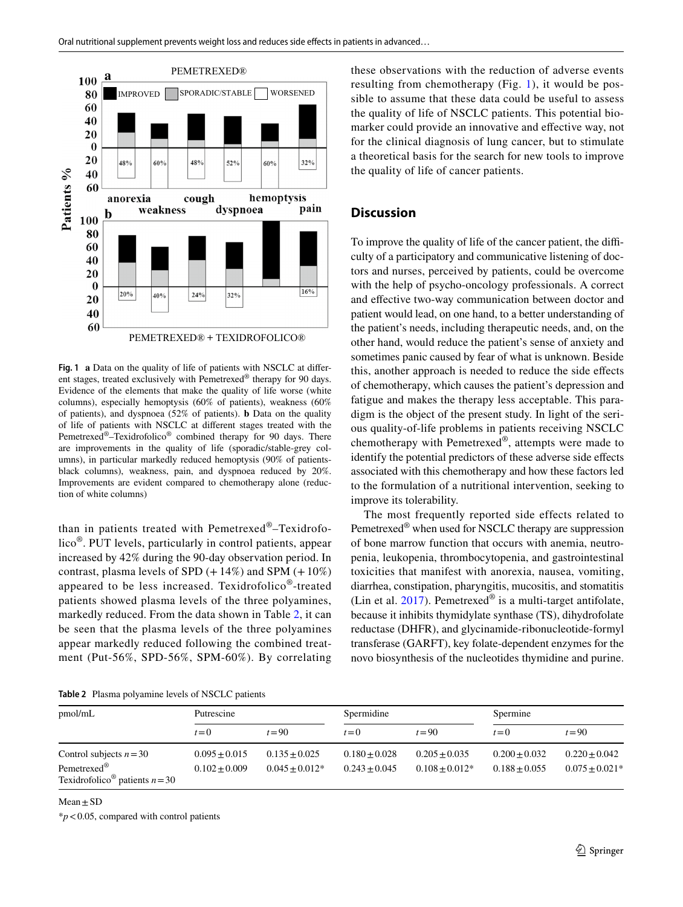

<span id="page-4-0"></span>**Fig. 1 a** Data on the quality of life of patients with NSCLC at diferent stages, treated exclusively with Pemetrexed® therapy for 90 days. Evidence of the elements that make the quality of life worse (white columns), especially hemoptysis (60% of patients), weakness (60% of patients), and dyspnoea (52% of patients). **b** Data on the quality of life of patients with NSCLC at diferent stages treated with the Pemetrexed®–Texidrofolico® combined therapy for 90 days. There are improvements in the quality of life (sporadic/stable-grey columns), in particular markedly reduced hemoptysis (90% of patientsblack columns), weakness, pain, and dyspnoea reduced by 20%. Improvements are evident compared to chemotherapy alone (reduction of white columns)

than in patients treated with Pemetrexed®–Texidrofolico®. PUT levels, particularly in control patients, appear increased by 42% during the 90-day observation period. In contrast, plasma levels of SPD  $(+14%)$  and SPM  $(+10%)$ appeared to be less increased. Texidrofolico®-treated patients showed plasma levels of the three polyamines, markedly reduced. From the data shown in Table [2](#page-4-1), it can be seen that the plasma levels of the three polyamines appear markedly reduced following the combined treatment (Put-56%, SPD-56%, SPM-60%). By correlating these observations with the reduction of adverse events resulting from chemotherapy (Fig. [1\)](#page-4-0), it would be possible to assume that these data could be useful to assess the quality of life of NSCLC patients. This potential biomarker could provide an innovative and efective way, not for the clinical diagnosis of lung cancer, but to stimulate a theoretical basis for the search for new tools to improve the quality of life of cancer patients.

## **Discussion**

To improve the quality of life of the cancer patient, the difficulty of a participatory and communicative listening of doctors and nurses, perceived by patients, could be overcome with the help of psycho-oncology professionals. A correct and efective two-way communication between doctor and patient would lead, on one hand, to a better understanding of the patient's needs, including therapeutic needs, and, on the other hand, would reduce the patient's sense of anxiety and sometimes panic caused by fear of what is unknown. Beside this, another approach is needed to reduce the side efects of chemotherapy, which causes the patient's depression and fatigue and makes the therapy less acceptable. This paradigm is the object of the present study. In light of the serious quality-of-life problems in patients receiving NSCLC chemotherapy with Pemetrexed®, attempts were made to identify the potential predictors of these adverse side effects associated with this chemotherapy and how these factors led to the formulation of a nutritional intervention, seeking to improve its tolerability.

The most frequently reported side effects related to Pemetrexed® when used for NSCLC therapy are suppression of bone marrow function that occurs with anemia, neutropenia, leukopenia, thrombocytopenia, and gastrointestinal toxicities that manifest with anorexia, nausea, vomiting, diarrhea, constipation, pharyngitis, mucositis, and stomatitis (Lin et al. [2017](#page-6-24)). Pemetrexed<sup>®</sup> is a multi-target antifolate, because it inhibits thymidylate synthase (TS), dihydrofolate reductase (DHFR), and glycinamide-ribonucleotide-formyl transferase (GARFT), key folate-dependent enzymes for the novo biosynthesis of the nucleotides thymidine and purine.

<span id="page-4-1"></span>**Table 2** Plasma polyamine levels of NSCLC patients

| pmol/mL                                                                 | Putrescine        |                   | Spermidine      |                  | Spermine        |                   |
|-------------------------------------------------------------------------|-------------------|-------------------|-----------------|------------------|-----------------|-------------------|
|                                                                         | $t=0$             | $t = 90$          | $t=0$           | $t = 90$         | $t=0$           | $t = 90$          |
| Control subjects $n = 30$                                               | $0.095 \pm 0.015$ | $0.135 \pm 0.025$ | $0.180 + 0.028$ | $0.205 + 0.035$  | $0.200 + 0.032$ | $0.220 \pm 0.042$ |
| Pemetrexed <sup>®</sup><br>Texidrofolico <sup>®</sup> patients $n = 30$ | $0.102 + 0.009$   | $0.045 + 0.012*$  | $0.243 + 0.045$ | $0.108 + 0.012*$ | $0.188 + 0.055$ | $0.075 + 0.021*$  |

 $Mean \pm SD$ 

\**p*<0.05, compared with control patients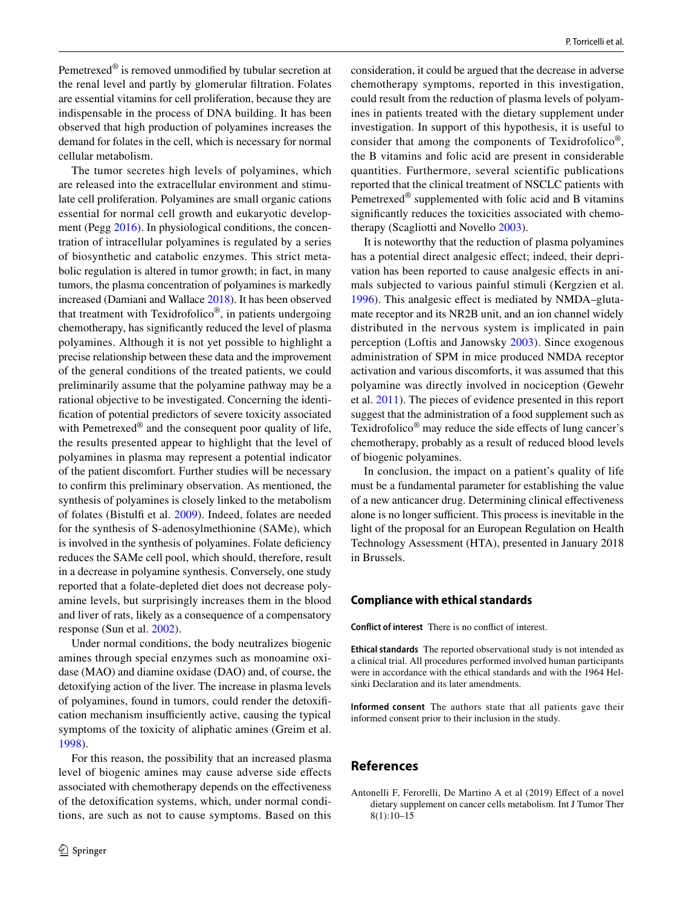Pemetrexed® is removed unmodifed by tubular secretion at the renal level and partly by glomerular fltration. Folates are essential vitamins for cell proliferation, because they are indispensable in the process of DNA building. It has been observed that high production of polyamines increases the demand for folates in the cell, which is necessary for normal cellular metabolism.

The tumor secretes high levels of polyamines, which are released into the extracellular environment and stimulate cell proliferation. Polyamines are small organic cations essential for normal cell growth and eukaryotic development (Pegg [2016\)](#page-6-12). In physiological conditions, the concentration of intracellular polyamines is regulated by a series of biosynthetic and catabolic enzymes. This strict metabolic regulation is altered in tumor growth; in fact, in many tumors, the plasma concentration of polyamines is markedly increased (Damiani and Wallace [2018\)](#page-6-13). It has been observed that treatment with Texidrofolico<sup>®</sup>, in patients undergoing chemotherapy, has signifcantly reduced the level of plasma polyamines. Although it is not yet possible to highlight a precise relationship between these data and the improvement of the general conditions of the treated patients, we could preliminarily assume that the polyamine pathway may be a rational objective to be investigated. Concerning the identifcation of potential predictors of severe toxicity associated with Pemetrexed<sup>®</sup> and the consequent poor quality of life, the results presented appear to highlight that the level of polyamines in plasma may represent a potential indicator of the patient discomfort. Further studies will be necessary to confrm this preliminary observation. As mentioned, the synthesis of polyamines is closely linked to the metabolism of folates (Bistulf et al. [2009\)](#page-6-25). Indeed, folates are needed for the synthesis of S-adenosylmethionine (SAMe), which is involved in the synthesis of polyamines. Folate deficiency reduces the SAMe cell pool, which should, therefore, result in a decrease in polyamine synthesis. Conversely, one study reported that a folate-depleted diet does not decrease polyamine levels, but surprisingly increases them in the blood and liver of rats, likely as a consequence of a compensatory response (Sun et al. [2002](#page-6-26)).

Under normal conditions, the body neutralizes biogenic amines through special enzymes such as monoamine oxidase (MAO) and diamine oxidase (DAO) and, of course, the detoxifying action of the liver. The increase in plasma levels of polyamines, found in tumors, could render the detoxifcation mechanism insufficiently active, causing the typical symptoms of the toxicity of aliphatic amines (Greim et al. [1998](#page-6-27)).

For this reason, the possibility that an increased plasma level of biogenic amines may cause adverse side efects associated with chemotherapy depends on the efectiveness of the detoxifcation systems, which, under normal conditions, are such as not to cause symptoms. Based on this consideration, it could be argued that the decrease in adverse chemotherapy symptoms, reported in this investigation, could result from the reduction of plasma levels of polyamines in patients treated with the dietary supplement under investigation. In support of this hypothesis, it is useful to consider that among the components of Texidrofolico®, the B vitamins and folic acid are present in considerable quantities. Furthermore, several scientific publications reported that the clinical treatment of NSCLC patients with Pemetrexed® supplemented with folic acid and B vitamins significantly reduces the toxicities associated with chemotherapy (Scagliotti and Novello [2003](#page-6-6)).

It is noteworthy that the reduction of plasma polyamines has a potential direct analgesic efect; indeed, their deprivation has been reported to cause analgesic efects in animals subjected to various painful stimuli (Kergzien et al. [1996](#page-6-17)). This analgesic efect is mediated by NMDA–glutamate receptor and its NR2B unit, and an ion channel widely distributed in the nervous system is implicated in pain perception (Loftis and Janowsky [2003\)](#page-6-18). Since exogenous administration of SPM in mice produced NMDA receptor activation and various discomforts, it was assumed that this polyamine was directly involved in nociception (Gewehr et al. [2011](#page-6-28)). The pieces of evidence presented in this report suggest that the administration of a food supplement such as Texidrofolico® may reduce the side efects of lung cancer's chemotherapy, probably as a result of reduced blood levels of biogenic polyamines.

In conclusion, the impact on a patient's quality of life must be a fundamental parameter for establishing the value of a new anticancer drug. Determining clinical efectiveness alone is no longer sufficient. This process is inevitable in the light of the proposal for an European Regulation on Health Technology Assessment (HTA), presented in January 2018 in Brussels.

#### **Compliance with ethical standards**

**Conflict of interest** There is no confict of interest.

**Ethical standards** The reported observational study is not intended as a clinical trial. All procedures performed involved human participants were in accordance with the ethical standards and with the 1964 Helsinki Declaration and its later amendments.

**Informed consent** The authors state that all patients gave their informed consent prior to their inclusion in the study.

#### **References**

<span id="page-5-0"></span>Antonelli F, Ferorelli, De Martino A et al (2019) Effect of a novel dietary supplement on cancer cells metabolism. Int J Tumor Ther 8(1):10–15